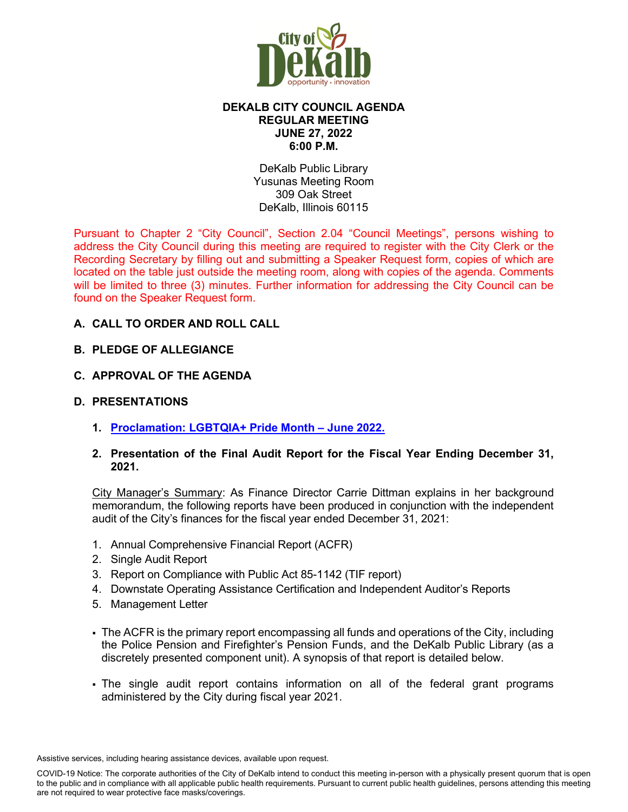

## **DEKALB CITY COUNCIL AGENDA REGULAR MEETING JUNE 27, 2022 6:00 P.M.**

DeKalb Public Library Yusunas Meeting Room 309 Oak Street DeKalb, Illinois 60115

Pursuant to Chapter 2 "City Council", Section 2.04 "Council Meetings", persons wishing to address the City Council during this meeting are required to register with the City Clerk or the Recording Secretary by filling out and submitting a Speaker Request form, copies of which are located on the table just outside the meeting room, along with copies of the agenda. Comments will be limited to three (3) minutes. Further information for addressing the City Council can be found on the Speaker Request form.

## **A. CALL TO ORDER AND ROLL CALL**

## **B. PLEDGE OF ALLEGIANCE**

## **C. APPROVAL OF THE AGENDA**

## **D. PRESENTATIONS**

**1. [Proclamation: LGBTQIA+ Pride Month – June 2022.](https://www.cityofdekalb.com/DocumentCenter/View/14123/2-Proclamation---PRIDE)** 

## **2. Presentation of the Final Audit Report for the Fiscal Year Ending December 31, 2021.**

City Manager's Summary: As Finance Director Carrie Dittman explains in her background memorandum, the following reports have been produced in conjunction with the independent audit of the City's finances for the fiscal year ended December 31, 2021:

- 1. Annual Comprehensive Financial Report (ACFR)
- 2. Single Audit Report
- 3. Report on Compliance with Public Act 85-1142 (TIF report)
- 4. Downstate Operating Assistance Certification and Independent Auditor's Reports
- 5. Management Letter
- The ACFR is the primary report encompassing all funds and operations of the City, including the Police Pension and Firefighter's Pension Funds, and the DeKalb Public Library (as a discretely presented component unit). A synopsis of that report is detailed below.
- The single audit report contains information on all of the federal grant programs administered by the City during fiscal year 2021.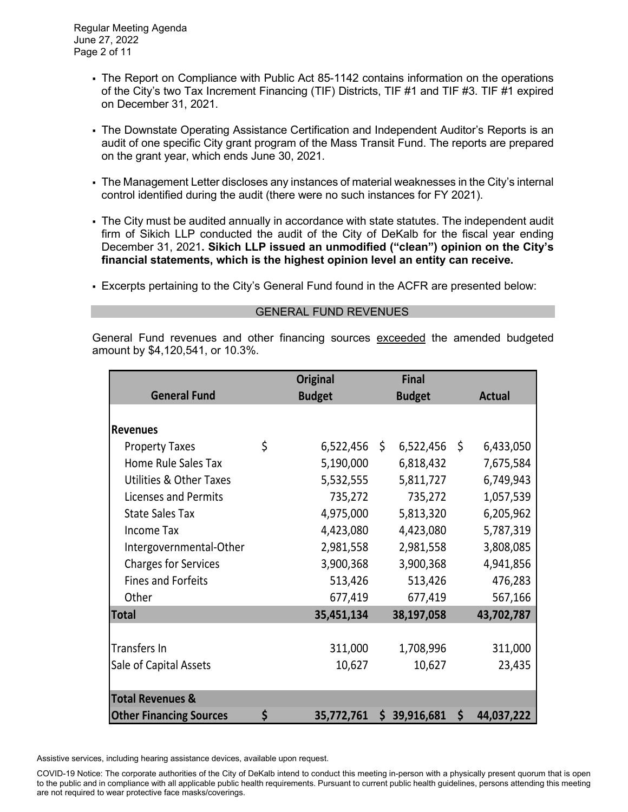- The Report on Compliance with Public Act 85-1142 contains information on the operations of the City's two Tax Increment Financing (TIF) Districts, TIF #1 and TIF #3. TIF #1 expired on December 31, 2021.
- The Downstate Operating Assistance Certification and Independent Auditor's Reports is an audit of one specific City grant program of the Mass Transit Fund. The reports are prepared on the grant year, which ends June 30, 2021.
- The Management Letter discloses any instances of material weaknesses in the City's internal control identified during the audit (there were no such instances for FY 2021).
- The City must be audited annually in accordance with state statutes. The independent audit firm of Sikich LLP conducted the audit of the City of DeKalb for the fiscal year ending December 31, 2021**. Sikich LLP issued an unmodified ("clean") opinion on the City's financial statements, which is the highest opinion level an entity can receive.**
- Excerpts pertaining to the City's General Fund found in the ACFR are presented below:

#### GENERAL FUND REVENUES

General Fund revenues and other financing sources exceeded the amended budgeted amount by \$4,120,541, or 10.3%.

|                                    |    | <b>Original</b> | <b>Final</b>         |        |               |
|------------------------------------|----|-----------------|----------------------|--------|---------------|
| <b>General Fund</b>                |    | <b>Budget</b>   | <b>Budget</b>        |        | <b>Actual</b> |
|                                    |    |                 |                      |        |               |
| <b>Revenues</b>                    |    |                 |                      |        |               |
| <b>Property Taxes</b>              | \$ | 6,522,456       | \$<br>$6,522,456$ \$ |        | 6,433,050     |
| Home Rule Sales Tax                |    | 5,190,000       | 6,818,432            |        | 7,675,584     |
| <b>Utilities &amp; Other Taxes</b> |    | 5,532,555       | 5,811,727            |        | 6,749,943     |
| Licenses and Permits               |    | 735,272         | 735,272              |        | 1,057,539     |
| <b>State Sales Tax</b>             |    | 4,975,000       | 5,813,320            |        | 6,205,962     |
| <b>Income Tax</b>                  |    | 4,423,080       | 4,423,080            |        | 5,787,319     |
| Intergovernmental-Other            |    | 2,981,558       | 2,981,558            |        | 3,808,085     |
| <b>Charges for Services</b>        |    | 3,900,368       | 3,900,368            |        | 4,941,856     |
| <b>Fines and Forfeits</b>          |    | 513,426         | 513,426              |        | 476,283       |
| Other                              |    | 677,419         | 677,419              |        | 567,166       |
| <b>Total</b>                       |    | 35,451,134      | 38,197,058           |        | 43,702,787    |
|                                    |    |                 |                      |        |               |
| <b>Transfers In</b>                |    | 311,000         | 1,708,996            |        | 311,000       |
| Sale of Capital Assets             |    | 10,627          | 10,627               | 23,435 |               |
|                                    |    |                 |                      |        |               |
| <b>Total Revenues &amp;</b>        |    |                 |                      |        |               |
| <b>Other Financing Sources</b>     | \$ | 35,772,761      | 39,916,681<br>\$     | \$     | 44,037,222    |

Assistive services, including hearing assistance devices, available upon request.

COVID-19 Notice: The corporate authorities of the City of DeKalb intend to conduct this meeting in-person with a physically present quorum that is open to the public and in compliance with all applicable public health requirements. Pursuant to current public health guidelines, persons attending this meeting are not required to wear protective face masks/coverings.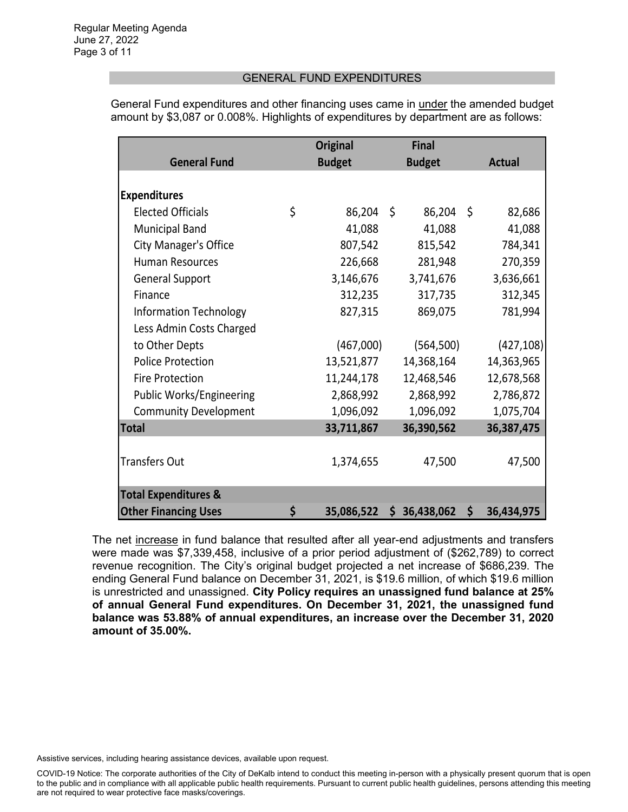### GENERAL FUND EXPENDITURES

General Fund expenditures and other financing uses came in under the amended budget amount by \$3,087 or 0.008%. Highlights of expenditures by department are as follows:

|                                 | <b>Original</b>  |         | <b>Final</b>  |               |            |  |
|---------------------------------|------------------|---------|---------------|---------------|------------|--|
| <b>General Fund</b>             | <b>Budget</b>    |         | <b>Budget</b> | <b>Actual</b> |            |  |
|                                 |                  |         |               |               |            |  |
| <b>Expenditures</b>             |                  |         |               |               |            |  |
| <b>Elected Officials</b>        | \$<br>86,204     | $\zeta$ | 86,204        | \$            | 82,686     |  |
| <b>Municipal Band</b>           | 41,088           |         | 41,088        |               | 41,088     |  |
| <b>City Manager's Office</b>    | 807,542          |         | 815,542       |               | 784,341    |  |
| <b>Human Resources</b>          | 226,668          |         | 281,948       |               | 270,359    |  |
| <b>General Support</b>          | 3,146,676        |         | 3,741,676     |               | 3,636,661  |  |
| Finance                         | 312,235          |         | 317,735       |               | 312,345    |  |
| <b>Information Technology</b>   | 827,315          |         | 869,075       |               | 781,994    |  |
| Less Admin Costs Charged        |                  |         |               |               |            |  |
| to Other Depts                  | (467,000)        |         | (564, 500)    |               | (427, 108) |  |
| <b>Police Protection</b>        | 13,521,877       |         | 14,368,164    |               | 14,363,965 |  |
| <b>Fire Protection</b>          | 11,244,178       |         | 12,468,546    |               | 12,678,568 |  |
| Public Works/Engineering        | 2,868,992        |         | 2,868,992     |               | 2,786,872  |  |
| <b>Community Development</b>    | 1,096,092        |         | 1,096,092     |               | 1,075,704  |  |
| <b>Total</b>                    | 33,711,867       |         | 36,390,562    |               | 36,387,475 |  |
|                                 |                  |         |               |               |            |  |
| <b>Transfers Out</b>            | 1,374,655        |         | 47,500        |               | 47,500     |  |
|                                 |                  |         |               |               |            |  |
| <b>Total Expenditures &amp;</b> |                  |         |               |               |            |  |
| <b>Other Financing Uses</b>     | \$<br>35,086,522 |         | \$36,438,062  | \$            | 36,434,975 |  |

The net increase in fund balance that resulted after all year-end adjustments and transfers were made was \$7,339,458, inclusive of a prior period adjustment of (\$262,789) to correct revenue recognition. The City's original budget projected a net increase of \$686,239. The ending General Fund balance on December 31, 2021, is \$19.6 million, of which \$19.6 million is unrestricted and unassigned. **City Policy requires an unassigned fund balance at 25% of annual General Fund expenditures. On December 31, 2021, the unassigned fund balance was 53.88% of annual expenditures, an increase over the December 31, 2020 amount of 35.00%.**

Assistive services, including hearing assistance devices, available upon request.

COVID-19 Notice: The corporate authorities of the City of DeKalb intend to conduct this meeting in-person with a physically present quorum that is open to the public and in compliance with all applicable public health requirements. Pursuant to current public health guidelines, persons attending this meeting are not required to wear protective face masks/coverings.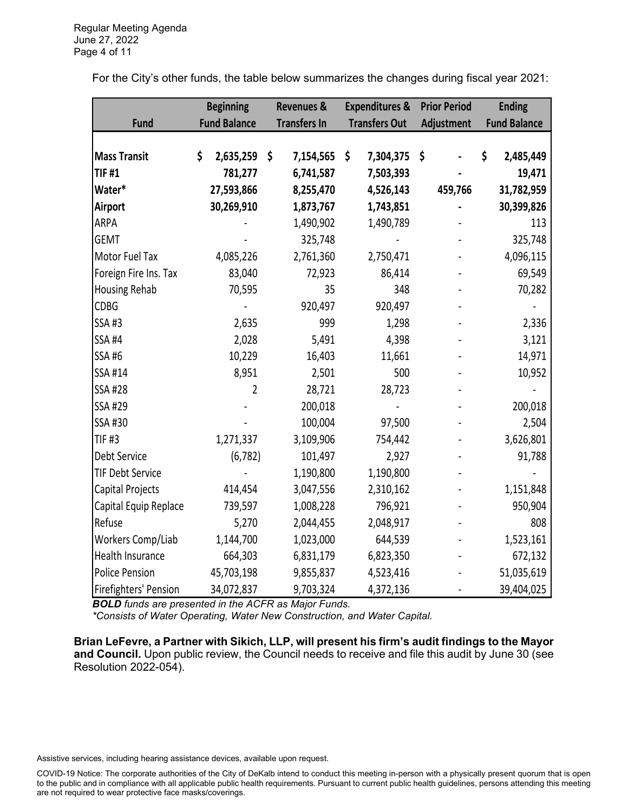For the City's other funds, the table below summarizes the changes during fiscal year 2021:

|                          | <b>Beginning</b> |                     | <b>Revenues &amp;</b> |    | <b>Expenditures &amp;</b> |    | <b>Prior Period</b> |    | <b>Ending</b>       |  |
|--------------------------|------------------|---------------------|-----------------------|----|---------------------------|----|---------------------|----|---------------------|--|
| <b>Fund</b>              |                  | <b>Fund Balance</b> | <b>Transfers In</b>   |    | <b>Transfers Out</b>      |    | Adjustment          |    | <b>Fund Balance</b> |  |
|                          |                  |                     |                       |    |                           |    |                     |    |                     |  |
| <b>Mass Transit</b>      | \$               | 2,635,259           | \$<br>7,154,565       | \$ | 7,304,375                 | \$ |                     | \$ | 2,485,449           |  |
| <b>TIF #1</b>            |                  | 781,277             | 6,741,587             |    | 7,503,393                 |    |                     |    | 19,471              |  |
| Water*                   |                  | 27,593,866          | 8,255,470             |    | 4,526,143                 |    | 459,766             |    | 31,782,959          |  |
| <b>Airport</b>           |                  | 30,269,910          | 1,873,767             |    | 1,743,851                 |    |                     |    | 30,399,826          |  |
| <b>ARPA</b>              |                  |                     | 1,490,902             |    | 1,490,789                 |    |                     |    | 113                 |  |
| <b>GEMT</b>              |                  |                     | 325,748               |    |                           |    |                     |    | 325,748             |  |
| Motor Fuel Tax           |                  | 4,085,226           | 2,761,360             |    | 2,750,471                 |    |                     |    | 4,096,115           |  |
| Foreign Fire Ins. Tax    |                  | 83,040              | 72,923                |    | 86,414                    |    |                     |    | 69,549              |  |
| Housing Rehab            |                  | 70,595              | 35                    |    | 348                       |    |                     |    | 70,282              |  |
| <b>CDBG</b>              |                  |                     | 920,497               |    | 920,497                   |    |                     |    |                     |  |
| <b>SSA#3</b>             |                  | 2,635               | 999                   |    | 1,298                     |    |                     |    | 2,336               |  |
| <b>SSA #4</b>            |                  | 2,028               | 5,491                 |    | 4,398                     |    |                     |    | 3,121               |  |
| SSA #6                   |                  | 10,229              | 16,403                |    | 11,661                    |    |                     |    | 14,971              |  |
| SSA #14                  |                  | 8,951               | 2,501                 |    | 500                       |    |                     |    | 10,952              |  |
| <b>SSA #28</b>           |                  | 2                   | 28,721                |    | 28,723                    |    |                     |    |                     |  |
| SSA #29                  |                  |                     | 200,018               |    |                           |    |                     |    | 200,018             |  |
| SSA #30                  |                  |                     | 100,004               |    | 97,500                    |    |                     |    | 2,504               |  |
| <b>TIF #3</b>            |                  | 1,271,337           | 3,109,906             |    | 754,442                   |    |                     |    | 3,626,801           |  |
| Debt Service             |                  | (6, 782)            | 101,497               |    | 2,927                     |    |                     |    | 91,788              |  |
| <b>TIF Debt Service</b>  |                  |                     | 1,190,800             |    | 1,190,800                 |    |                     |    |                     |  |
| <b>Capital Projects</b>  |                  | 414,454             | 3,047,556             |    | 2,310,162                 |    |                     |    | 1,151,848           |  |
| Capital Equip Replace    |                  | 739,597             | 1,008,228             |    | 796,921                   |    |                     |    | 950,904             |  |
| Refuse                   |                  | 5,270               | 2,044,455             |    | 2,048,917                 |    |                     |    | 808                 |  |
| <b>Workers Comp/Liab</b> |                  | 1,144,700           | 1,023,000             |    | 644,539                   |    |                     |    | 1,523,161           |  |
| Health Insurance         |                  | 664,303             | 6,831,179             |    | 6,823,350                 |    |                     |    | 672,132             |  |
| <b>Police Pension</b>    |                  | 45,703,198          | 9,855,837             |    | 4,523,416                 |    |                     |    | 51,035,619          |  |
| Firefighters' Pension    |                  | 34,072,837          | 9,703,324             |    | 4,372,136                 |    |                     |    | 39,404,025          |  |

*BOLD funds are presented in the ACFR as Major Funds.*

*\*Consists of Water Operating, Water New Construction, and Water Capital.*

**Brian LeFevre, a Partner with Sikich, LLP, will present his firm's audit findings to the Mayor and Council.** Upon public review, the Council needs to receive and file this audit by June 30 (see Resolution 2022-054).

Assistive services, including hearing assistance devices, available upon request.

COVID-19 Notice: The corporate authorities of the City of DeKalb intend to conduct this meeting in-person with a physically present quorum that is open to the public and in compliance with all applicable public health requirements. Pursuant to current public health guidelines, persons attending this meeting are not required to wear protective face masks/coverings.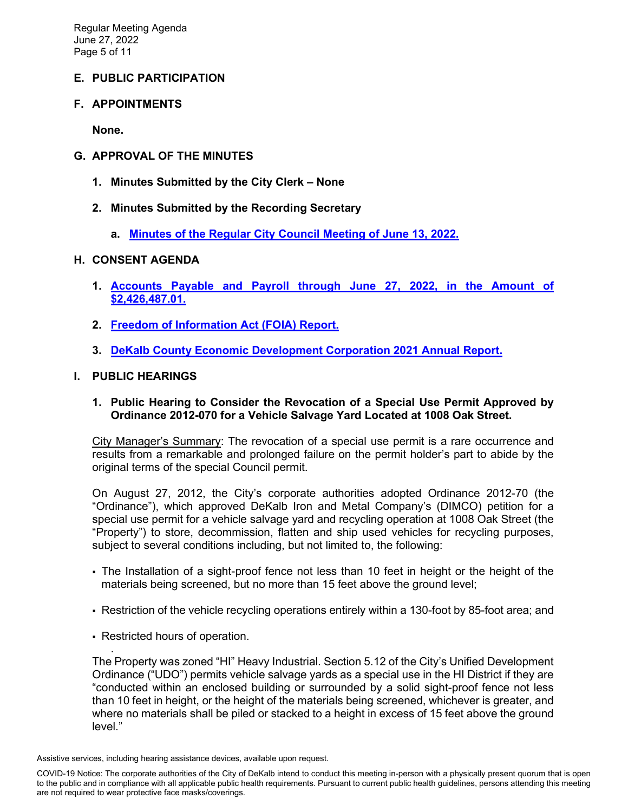## **E. PUBLIC PARTICIPATION**

### **F. APPOINTMENTS**

**None.** 

### **G. APPROVAL OF THE MINUTES**

- **1. Minutes Submitted by the City Clerk None**
- **2. Minutes Submitted by the Recording Secretary**
	- **a. [Minutes of the Regular City Council Meeting of June 13, 2022.](https://www.cityofdekalb.com/DocumentCenter/View/14124/3-061322-Regular-Minutes)**

#### **H. CONSENT AGENDA**

- **1. [Accounts Payable and Payroll through June 27, 2022, in the Amount of](https://www.cityofdekalb.com/DocumentCenter/View/14125/4-062722-APP)  [\\$2,426,487.01.](https://www.cityofdekalb.com/DocumentCenter/View/14125/4-062722-APP)**
- **2. [Freedom of Information Act \(FOIA\) Report.](https://www.cityofdekalb.com/DocumentCenter/View/14126/5-FOIA-Rpt---May-2022)**
- **3. [DeKalb County Economic Development Corporation 2021 Annual Report.](https://www.cityofdekalb.com/DocumentCenter/View/14127/6-DCEDC-Annual-Report-Packet-62222)**

#### **I. PUBLIC HEARINGS**

#### **1. Public Hearing to Consider the Revocation of a Special Use Permit Approved by Ordinance 2012-070 for a Vehicle Salvage Yard Located at 1008 Oak Street.**

City Manager's Summary: The revocation of a special use permit is a rare occurrence and results from a remarkable and prolonged failure on the permit holder's part to abide by the original terms of the special Council permit.

On August 27, 2012, the City's corporate authorities adopted Ordinance 2012-70 (the "Ordinance"), which approved DeKalb Iron and Metal Company's (DIMCO) petition for a special use permit for a vehicle salvage yard and recycling operation at 1008 Oak Street (the "Property") to store, decommission, flatten and ship used vehicles for recycling purposes, subject to several conditions including, but not limited to, the following:

- The Installation of a sight-proof fence not less than 10 feet in height or the height of the materials being screened, but no more than 15 feet above the ground level;
- Restriction of the vehicle recycling operations entirely within a 130-foot by 85-foot area; and
- Restricted hours of operation.

. The Property was zoned "HI" Heavy Industrial. Section 5.12 of the City's Unified Development Ordinance ("UDO") permits vehicle salvage yards as a special use in the HI District if they are "conducted within an enclosed building or surrounded by a solid sight-proof fence not less than 10 feet in height, or the height of the materials being screened, whichever is greater, and where no materials shall be piled or stacked to a height in excess of 15 feet above the ground level."

Assistive services, including hearing assistance devices, available upon request.

COVID-19 Notice: The corporate authorities of the City of DeKalb intend to conduct this meeting in-person with a physically present quorum that is open to the public and in compliance with all applicable public health requirements. Pursuant to current public health guidelines, persons attending this meeting are not required to wear protective face masks/coverings.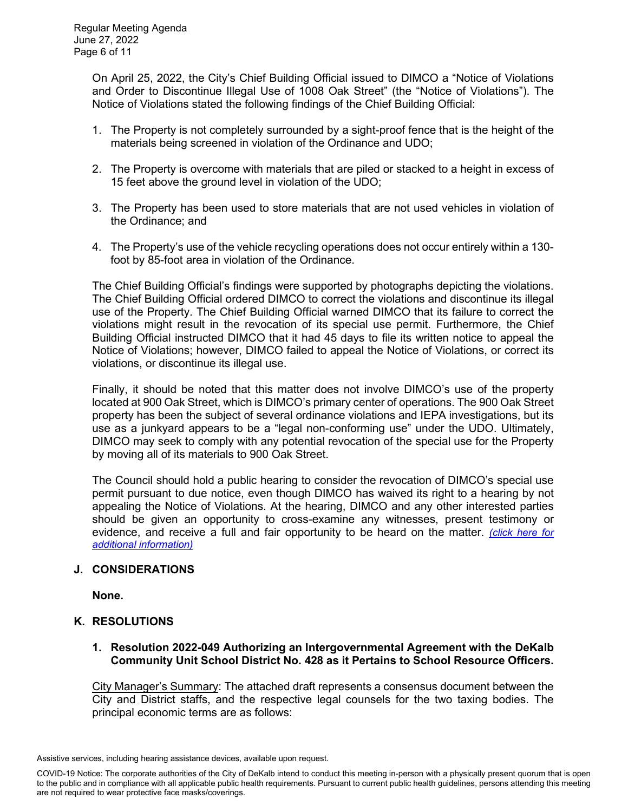On April 25, 2022, the City's Chief Building Official issued to DIMCO a "Notice of Violations and Order to Discontinue Illegal Use of 1008 Oak Street" (the "Notice of Violations"). The Notice of Violations stated the following findings of the Chief Building Official:

- 1. The Property is not completely surrounded by a sight-proof fence that is the height of the materials being screened in violation of the Ordinance and UDO;
- 2. The Property is overcome with materials that are piled or stacked to a height in excess of 15 feet above the ground level in violation of the UDO;
- 3. The Property has been used to store materials that are not used vehicles in violation of the Ordinance; and
- 4. The Property's use of the vehicle recycling operations does not occur entirely within a 130 foot by 85-foot area in violation of the Ordinance.

The Chief Building Official's findings were supported by photographs depicting the violations. The Chief Building Official ordered DIMCO to correct the violations and discontinue its illegal use of the Property. The Chief Building Official warned DIMCO that its failure to correct the violations might result in the revocation of its special use permit. Furthermore, the Chief Building Official instructed DIMCO that it had 45 days to file its written notice to appeal the Notice of Violations; however, DIMCO failed to appeal the Notice of Violations, or correct its violations, or discontinue its illegal use.

Finally, it should be noted that this matter does not involve DIMCO's use of the property located at 900 Oak Street, which is DIMCO's primary center of operations. The 900 Oak Street property has been the subject of several ordinance violations and IEPA investigations, but its use as a junkyard appears to be a "legal non-conforming use" under the UDO. Ultimately, DIMCO may seek to comply with any potential revocation of the special use for the Property by moving all of its materials to 900 Oak Street.

The Council should hold a public hearing to consider the revocation of DIMCO's special use permit pursuant to due notice, even though DIMCO has waived its right to a hearing by not appealing the Notice of Violations. At the hearing, DIMCO and any other interested parties should be given an opportunity to cross-examine any witnesses, present testimony or evidence, and receive a full and fair opportunity to be heard on the matter. *[\(click here for](https://www.cityofdekalb.com/DocumentCenter/View/14128/7-PH---DIMCO)  [additional information\)](https://www.cityofdekalb.com/DocumentCenter/View/14128/7-PH---DIMCO)*

## **J. CONSIDERATIONS**

**None.**

### **K. RESOLUTIONS**

### **1. Resolution 2022-049 Authorizing an Intergovernmental Agreement with the DeKalb Community Unit School District No. 428 as it Pertains to School Resource Officers.**

City Manager's Summary: The attached draft represents a consensus document between the City and District staffs, and the respective legal counsels for the two taxing bodies. The principal economic terms are as follows:

COVID-19 Notice: The corporate authorities of the City of DeKalb intend to conduct this meeting in-person with a physically present quorum that is open to the public and in compliance with all applicable public health requirements. Pursuant to current public health guidelines, persons attending this meeting are not required to wear protective face masks/coverings.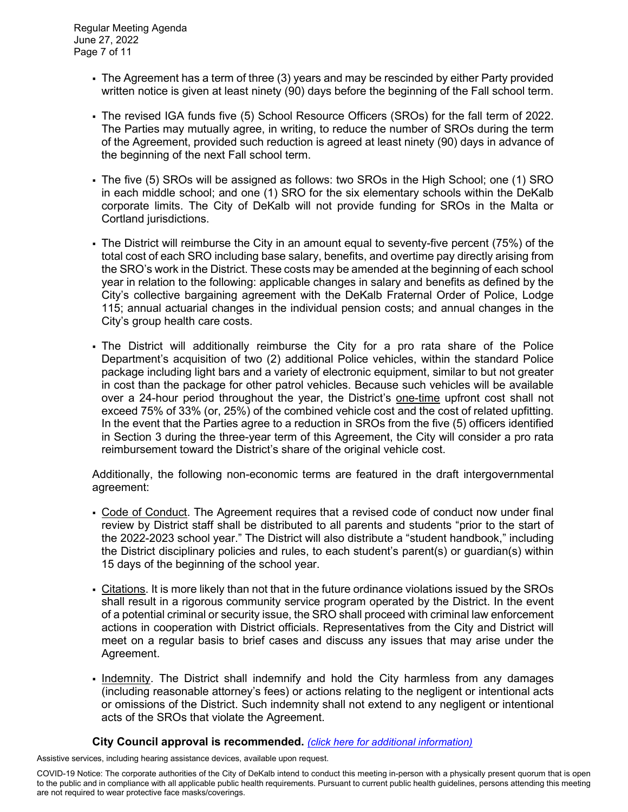- The Agreement has a term of three (3) years and may be rescinded by either Party provided written notice is given at least ninety (90) days before the beginning of the Fall school term.
- The revised IGA funds five (5) School Resource Officers (SROs) for the fall term of 2022. The Parties may mutually agree, in writing, to reduce the number of SROs during the term of the Agreement, provided such reduction is agreed at least ninety (90) days in advance of the beginning of the next Fall school term.
- The five (5) SROs will be assigned as follows: two SROs in the High School; one (1) SRO in each middle school; and one (1) SRO for the six elementary schools within the DeKalb corporate limits. The City of DeKalb will not provide funding for SROs in the Malta or Cortland jurisdictions.
- The District will reimburse the City in an amount equal to seventy-five percent (75%) of the total cost of each SRO including base salary, benefits, and overtime pay directly arising from the SRO's work in the District. These costs may be amended at the beginning of each school year in relation to the following: applicable changes in salary and benefits as defined by the City's collective bargaining agreement with the DeKalb Fraternal Order of Police, Lodge 115; annual actuarial changes in the individual pension costs; and annual changes in the City's group health care costs.
- The District will additionally reimburse the City for a pro rata share of the Police Department's acquisition of two (2) additional Police vehicles, within the standard Police package including light bars and a variety of electronic equipment, similar to but not greater in cost than the package for other patrol vehicles. Because such vehicles will be available over a 24-hour period throughout the year, the District's one-time upfront cost shall not exceed 75% of 33% (or, 25%) of the combined vehicle cost and the cost of related upfitting. In the event that the Parties agree to a reduction in SROs from the five (5) officers identified in Section 3 during the three-year term of this Agreement, the City will consider a pro rata reimbursement toward the District's share of the original vehicle cost.

Additionally, the following non-economic terms are featured in the draft intergovernmental agreement:

- Code of Conduct. The Agreement requires that a revised code of conduct now under final review by District staff shall be distributed to all parents and students "prior to the start of the 2022-2023 school year." The District will also distribute a "student handbook," including the District disciplinary policies and rules, to each student's parent(s) or guardian(s) within 15 days of the beginning of the school year.
- Citations. It is more likely than not that in the future ordinance violations issued by the SROs shall result in a rigorous community service program operated by the District. In the event of a potential criminal or security issue, the SRO shall proceed with criminal law enforcement actions in cooperation with District officials. Representatives from the City and District will meet on a regular basis to brief cases and discuss any issues that may arise under the Agreement.
- Indemnity. The District shall indemnify and hold the City harmless from any damages (including reasonable attorney's fees) or actions relating to the negligent or intentional acts or omissions of the District. Such indemnity shall not extend to any negligent or intentional acts of the SROs that violate the Agreement.

## **City Council approval is recommended.** *[\(click here for additional information\)](https://www.cityofdekalb.com/DocumentCenter/View/14129/8-Res-2022-049)*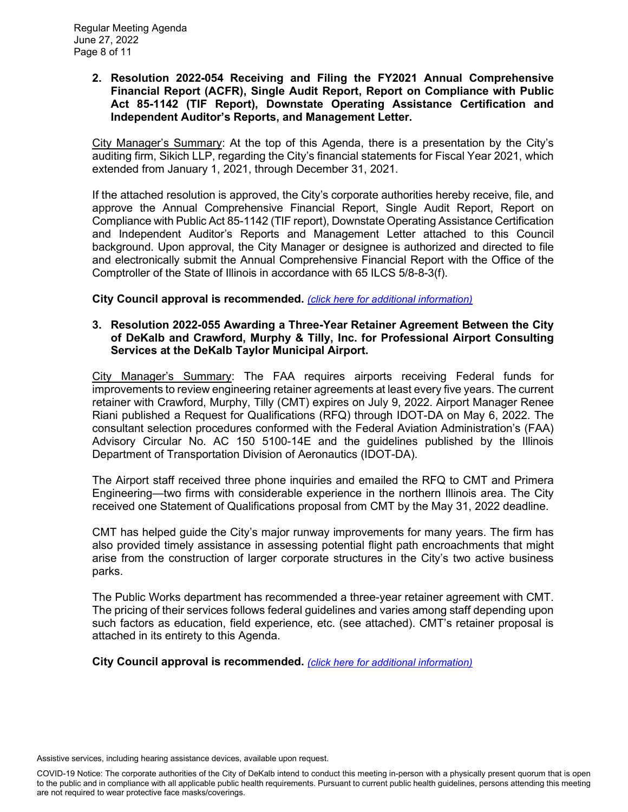**2. Resolution 2022-054 Receiving and Filing the FY2021 Annual Comprehensive Financial Report (ACFR), Single Audit Report, Report on Compliance with Public Act 85-1142 (TIF Report), Downstate Operating Assistance Certification and Independent Auditor's Reports, and Management Letter.** 

City Manager's Summary: At the top of this Agenda, there is a presentation by the City's auditing firm, Sikich LLP, regarding the City's financial statements for Fiscal Year 2021, which extended from January 1, 2021, through December 31, 2021.

If the attached resolution is approved, the City's corporate authorities hereby receive, file, and approve the Annual Comprehensive Financial Report, Single Audit Report, Report on Compliance with Public Act 85-1142 (TIF report), Downstate Operating Assistance Certification and Independent Auditor's Reports and Management Letter attached to this Council background. Upon approval, the City Manager or designee is authorized and directed to file and electronically submit the Annual Comprehensive Financial Report with the Office of the Comptroller of the State of Illinois in accordance with 65 ILCS 5/8-8-3(f).

**City Council approval is recommended.** *[\(click here for additional information\)](https://www.cityofdekalb.com/DocumentCenter/View/14130/9-Res-2022-054)*

### **3. Resolution 2022-055 Awarding a Three-Year Retainer Agreement Between the City of DeKalb and Crawford, Murphy & Tilly, Inc. for Professional Airport Consulting Services at the DeKalb Taylor Municipal Airport.**

City Manager's Summary: The FAA requires airports receiving Federal funds for improvements to review engineering retainer agreements at least every five years. The current retainer with Crawford, Murphy, Tilly (CMT) expires on July 9, 2022. Airport Manager Renee Riani published a Request for Qualifications (RFQ) through IDOT-DA on May 6, 2022. The consultant selection procedures conformed with the Federal Aviation Administration's (FAA) Advisory Circular No. AC 150 5100-14E and the guidelines published by the Illinois Department of Transportation Division of Aeronautics (IDOT-DA).

The Airport staff received three phone inquiries and emailed the RFQ to CMT and Primera Engineering—two firms with considerable experience in the northern Illinois area. The City received one Statement of Qualifications proposal from CMT by the May 31, 2022 deadline.

CMT has helped guide the City's major runway improvements for many years. The firm has also provided timely assistance in assessing potential flight path encroachments that might arise from the construction of larger corporate structures in the City's two active business parks.

The Public Works department has recommended a three-year retainer agreement with CMT. The pricing of their services follows federal guidelines and varies among staff depending upon such factors as education, field experience, etc. (see attached). CMT's retainer proposal is attached in its entirety to this Agenda.

**City Council approval is recommended.** *[\(click here for additional information\)](https://www.cityofdekalb.com/DocumentCenter/View/14131/10-Res-2022-055)*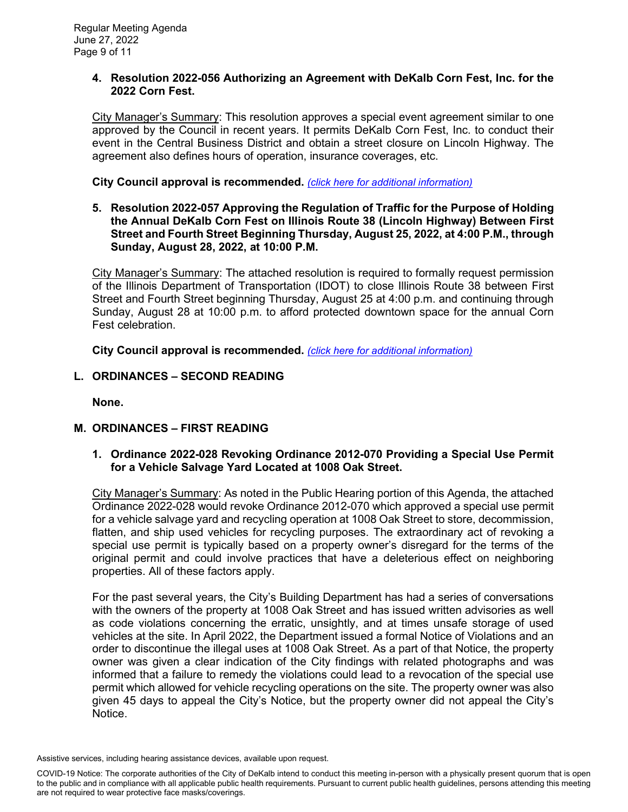### **4. Resolution 2022-056 Authorizing an Agreement with DeKalb Corn Fest, Inc. for the 2022 Corn Fest.**

City Manager's Summary: This resolution approves a special event agreement similar to one approved by the Council in recent years. It permits DeKalb Corn Fest, Inc. to conduct their event in the Central Business District and obtain a street closure on Lincoln Highway. The agreement also defines hours of operation, insurance coverages, etc.

**City Council approval is recommended.** *[\(click here for additional information\)](https://www.cityofdekalb.com/DocumentCenter/View/14132/11-Res-2022-056)*

**5. Resolution 2022-057 Approving the Regulation of Traffic for the Purpose of Holding the Annual DeKalb Corn Fest on Illinois Route 38 (Lincoln Highway) Between First Street and Fourth Street Beginning Thursday, August 25, 2022, at 4:00 P.M., through Sunday, August 28, 2022, at 10:00 P.M.**

City Manager's Summary: The attached resolution is required to formally request permission of the Illinois Department of Transportation (IDOT) to close Illinois Route 38 between First Street and Fourth Street beginning Thursday, August 25 at 4:00 p.m. and continuing through Sunday, August 28 at 10:00 p.m. to afford protected downtown space for the annual Corn Fest celebration.

**City Council approval is recommended.** *[\(click here for additional information\)](https://www.cityofdekalb.com/DocumentCenter/View/14133/12-Res-2022-057)*

**L. ORDINANCES – SECOND READING**

**None.**

# **M. ORDINANCES – FIRST READING**

**1. Ordinance 2022-028 Revoking Ordinance 2012-070 Providing a Special Use Permit for a Vehicle Salvage Yard Located at 1008 Oak Street.** 

City Manager's Summary: As noted in the Public Hearing portion of this Agenda, the attached Ordinance 2022-028 would revoke Ordinance 2012-070 which approved a special use permit for a vehicle salvage yard and recycling operation at 1008 Oak Street to store, decommission, flatten, and ship used vehicles for recycling purposes. The extraordinary act of revoking a special use permit is typically based on a property owner's disregard for the terms of the original permit and could involve practices that have a deleterious effect on neighboring properties. All of these factors apply.

For the past several years, the City's Building Department has had a series of conversations with the owners of the property at 1008 Oak Street and has issued written advisories as well as code violations concerning the erratic, unsightly, and at times unsafe storage of used vehicles at the site. In April 2022, the Department issued a formal Notice of Violations and an order to discontinue the illegal uses at 1008 Oak Street. As a part of that Notice, the property owner was given a clear indication of the City findings with related photographs and was informed that a failure to remedy the violations could lead to a revocation of the special use permit which allowed for vehicle recycling operations on the site. The property owner was also given 45 days to appeal the City's Notice, but the property owner did not appeal the City's Notice.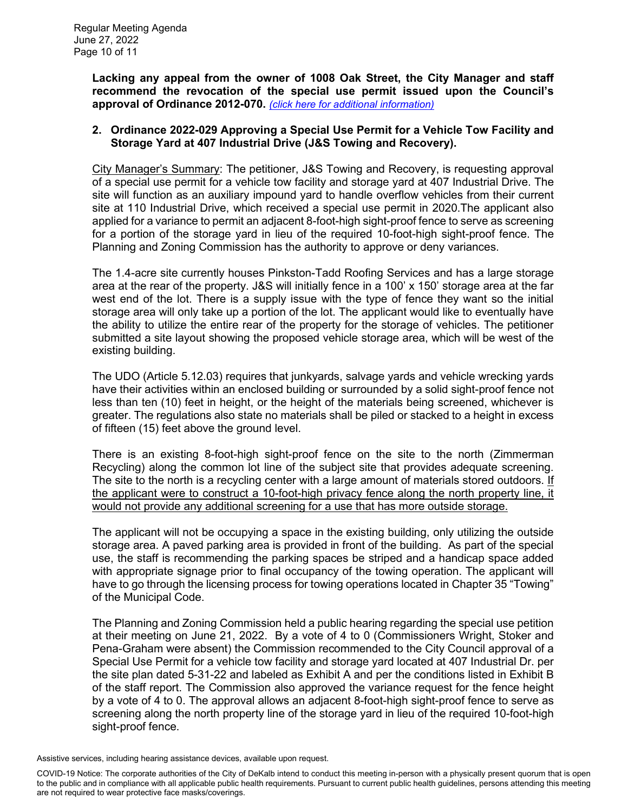**Lacking any appeal from the owner of 1008 Oak Street, the City Manager and staff recommend the revocation of the special use permit issued upon the Council's approval of Ordinance 2012-070.** *[\(click here for additional information\)](https://www.cityofdekalb.com/DocumentCenter/View/14134/13-Ord-2022-028)*

### **2. Ordinance 2022-029 Approving a Special Use Permit for a Vehicle Tow Facility and Storage Yard at 407 Industrial Drive (J&S Towing and Recovery).**

City Manager's Summary: The petitioner, J&S Towing and Recovery, is requesting approval of a special use permit for a vehicle tow facility and storage yard at 407 Industrial Drive. The site will function as an auxiliary impound yard to handle overflow vehicles from their current site at 110 Industrial Drive, which received a special use permit in 2020.The applicant also applied for a variance to permit an adjacent 8-foot-high sight-proof fence to serve as screening for a portion of the storage yard in lieu of the required 10-foot-high sight-proof fence. The Planning and Zoning Commission has the authority to approve or deny variances.

The 1.4-acre site currently houses Pinkston-Tadd Roofing Services and has a large storage area at the rear of the property. J&S will initially fence in a 100' x 150' storage area at the far west end of the lot. There is a supply issue with the type of fence they want so the initial storage area will only take up a portion of the lot. The applicant would like to eventually have the ability to utilize the entire rear of the property for the storage of vehicles. The petitioner submitted a site layout showing the proposed vehicle storage area, which will be west of the existing building.

The UDO (Article 5.12.03) requires that junkyards, salvage yards and vehicle wrecking yards have their activities within an enclosed building or surrounded by a solid sight-proof fence not less than ten (10) feet in height, or the height of the materials being screened, whichever is greater. The regulations also state no materials shall be piled or stacked to a height in excess of fifteen (15) feet above the ground level.

There is an existing 8-foot-high sight-proof fence on the site to the north (Zimmerman Recycling) along the common lot line of the subject site that provides adequate screening. The site to the north is a recycling center with a large amount of materials stored outdoors. If the applicant were to construct a 10-foot-high privacy fence along the north property line, it would not provide any additional screening for a use that has more outside storage.

The applicant will not be occupying a space in the existing building, only utilizing the outside storage area. A paved parking area is provided in front of the building. As part of the special use, the staff is recommending the parking spaces be striped and a handicap space added with appropriate signage prior to final occupancy of the towing operation. The applicant will have to go through the licensing process for towing operations located in Chapter 35 "Towing" of the Municipal Code.

The Planning and Zoning Commission held a public hearing regarding the special use petition at their meeting on June 21, 2022. By a vote of 4 to 0 (Commissioners Wright, Stoker and Pena-Graham were absent) the Commission recommended to the City Council approval of a Special Use Permit for a vehicle tow facility and storage yard located at 407 Industrial Dr. per the site plan dated 5-31-22 and labeled as Exhibit A and per the conditions listed in Exhibit B of the staff report. The Commission also approved the variance request for the fence height by a vote of 4 to 0. The approval allows an adjacent 8-foot-high sight-proof fence to serve as screening along the north property line of the storage yard in lieu of the required 10-foot-high sight-proof fence.